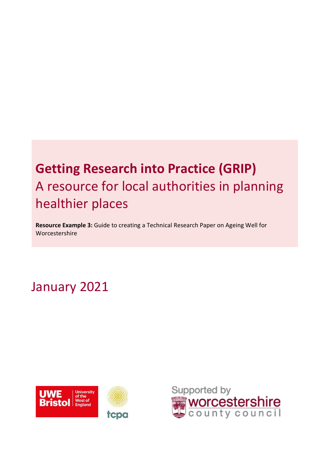# **Getting Research into Practice (GRIP)** A resource for local authorities in planning healthier places

**Resource Example 3:** Guide to creating a Technical Research Paper on Ageing Well for Worcestershire

# January 2021



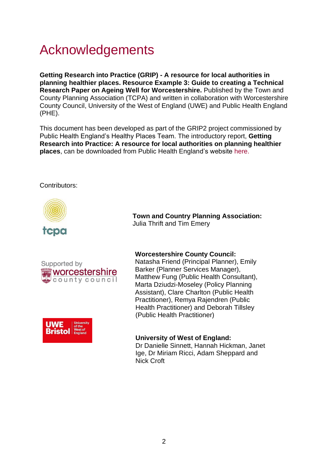# Acknowledgements

**Getting Research into Practice (GRIP) - A resource for local authorities in planning healthier places. Resource Example 3: Guide to creating a Technical Research Paper on Ageing Well for Worcestershire.** Published by the Town and County Planning Association (TCPA) and written in collaboration with Worcestershire County Council, University of the West of England (UWE) and Public Health England (PHE).

This document has been developed as part of the GRIP2 project commissioned by Public Health England's Healthy Places Team. The introductory report, **Getting Research into Practice: A resource for local authorities on planning healthier places**, can be downloaded from Public Health England's website [here.](https://eur03.safelinks.protection.outlook.com/?url=https%3A%2F%2Fwww.gov.uk%2Fgovernment%2Fpublications%2Fspatial-planning-and-health-getting-research-into-practice-grip&data=04%7C01%7CTim.Emery%40tcpa.org.uk%7Ce0dece1e35814d0c21fa08d8a1a2a06d%7C7c8d1c3e6a2e4c60a232abd20d6e90ad%7C0%7C0%7C637437067133852652%7CUnknown%7CTWFpbGZsb3d8eyJWIjoiMC4wLjAwMDAiLCJQIjoiV2luMzIiLCJBTiI6Ik1haWwiLCJXVCI6Mn0%3D%7C1000&sdata=PoFILiDVhONAcnWJs3q45UTEFGY0FZ2GhRrhWVvxxAA%3D&reserved=0)

### Contributors:



Supported by worcestershire ﷺ county council, "



**Town and Country Planning Association:**  Julia Thrift and Tim Emery

#### **Worcestershire County Council:**

Natasha Friend (Principal Planner), Emily Barker (Planner Services Manager), Matthew Fung (Public Health Consultant), Marta Dziudzi-Moseley (Policy Planning Assistant), Clare Charlton (Public Health Practitioner), Remya Rajendren (Public Health Practitioner) and Deborah Tillsley (Public Health Practitioner)

#### **University of West of England:**

Dr Danielle Sinnett, Hannah Hickman, Janet Ige, Dr Miriam Ricci, Adam Sheppard and Nick Croft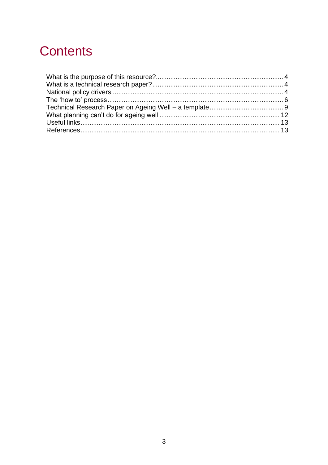# **Contents**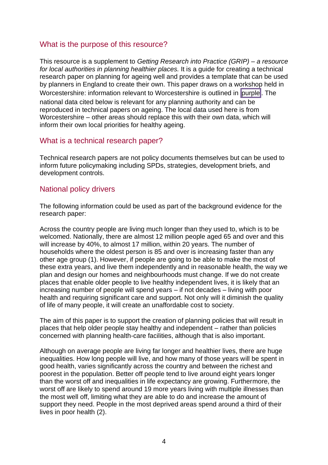# <span id="page-3-0"></span>What is the purpose of this resource?

This resource is a supplement to *Getting Research into Practice (GRIP) – a resource for local authorities in planning healthier places.* It is a guide for creating a technical research paper on planning for ageing well and provides a template that can be used by planners in England to create their own. This paper draws on a workshop held in Worcestershire: information relevant to Worcestershire is outlined in purple. The national data cited below is relevant for any planning authority and can be reproduced in technical papers on ageing. The local data used here is from Worcestershire – other areas should replace this with their own data, which will inform their own local priorities for healthy ageing.

# <span id="page-3-1"></span>What is a technical research paper?

Technical research papers are not policy documents themselves but can be used to inform future policymaking including SPDs, strategies, development briefs, and development controls.

# <span id="page-3-2"></span>National policy drivers

The following information could be used as part of the background evidence for the research paper:

Across the country people are living much longer than they used to, which is to be welcomed. Nationally, there are almost 12 million people aged 65 and over and this will increase by 40%, to almost 17 million, within 20 years. The number of households where the oldest person is 85 and over is increasing faster than any other age group [\(1\).](#page-12-2) However, if people are going to be able to make the most of these extra years, and live them independently and in reasonable health, the way we plan and design our homes and neighbourhoods must change. If we do not create places that enable older people to live healthy independent lives, it is likely that an increasing number of people will spend years – if not decades – living with poor health and requiring significant care and support. Not only will it diminish the quality of life of many people, it will create an unaffordable cost to society.

The aim of this paper is to support the creation of planning policies that will result in places that help older people stay healthy and independent – rather than policies concerned with planning health-care facilities, although that is also important.

Although on average people are living far longer and healthier lives, there are huge inequalities. How long people will live, and how many of those years will be spent in good health, varies significantly across the country and between the richest and poorest in the population. Better off people tend to live around eight years longer than the worst off and inequalities in life expectancy are growing. Furthermore, the worst off are likely to spend around 19 more years living with multiple illnesses than the most well off, limiting what they are able to do and increase the amount of support they need. People in the most deprived areas spend around a third of their lives in poor health [\(2\).](#page-12-3)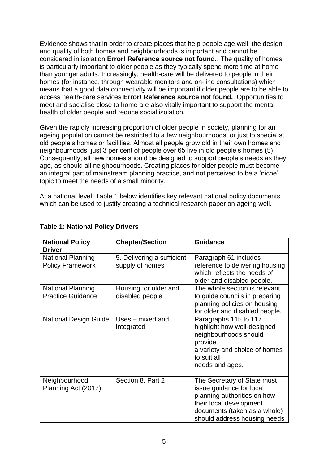Evidence shows that in order to create places that help people age well, the design and quality of both homes and neighbourhoods is important and cannot be considered in isolation **Error! Reference source not found.**. The quality of homes is particularly important to older people as they typically spend more time at home than younger adults. Increasingly, health-care will be delivered to people in their homes (for instance, through wearable monitors and on-line consultations) which means that a good data connectivity will be important if older people are to be able to access health-care services **Error! Reference source not found.**. Opportunities to meet and socialise close to home are also vitally important to support the mental health of older people and reduce social isolation.

Given the rapidly increasing proportion of older people in society, planning for an ageing population cannot be restricted to a few neighbourhoods, or just to specialist old people's homes or facilities. Almost all people grow old in their own homes and neighbourhoods: just 3 per cent of people over 65 live in old people's homes [\(5\).](#page-12-4) Consequently, all new homes should be designed to support people's needs as they age, as should all neighbourhoods. Creating places for older people must become an integral part of mainstream planning practice, and not perceived to be a 'niche' topic to meet the needs of a small minority.

At a national level, Table 1 below identifies key relevant national policy documents which can be used to justify creating a technical research paper on ageing well.

| <b>National Policy</b><br><b>Driver</b>              | <b>Chapter/Section</b>                        | <b>Guidance</b>                                                                                                                                                                   |
|------------------------------------------------------|-----------------------------------------------|-----------------------------------------------------------------------------------------------------------------------------------------------------------------------------------|
| <b>National Planning</b><br><b>Policy Framework</b>  | 5. Delivering a sufficient<br>supply of homes | Paragraph 61 includes<br>reference to delivering housing<br>which reflects the needs of<br>older and disabled people.                                                             |
| <b>National Planning</b><br><b>Practice Guidance</b> | Housing for older and<br>disabled people      | The whole section is relevant<br>to guide councils in preparing<br>planning policies on housing<br>for older and disabled people.                                                 |
| <b>National Design Guide</b>                         | Uses - mixed and<br>integrated                | Paragraphs 115 to 117<br>highlight how well-designed<br>neighbourhoods should<br>provide<br>a variety and choice of homes<br>to suit all<br>needs and ages.                       |
| Neighbourhood<br>Planning Act (2017)                 | Section 8, Part 2                             | The Secretary of State must<br>issue guidance for local<br>planning authorities on how<br>their local development<br>documents (taken as a whole)<br>should address housing needs |

### **Table 1: National Policy Drivers**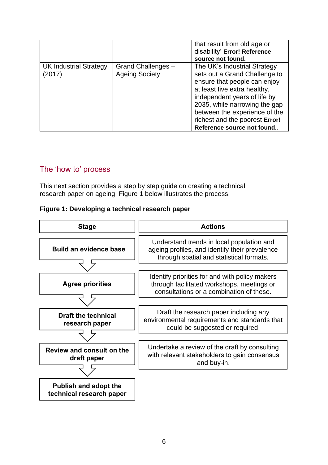|                                  |                                             | that result from old age or<br>disability' Error! Reference<br>source not found.                                                                                                                                                                                                                |
|----------------------------------|---------------------------------------------|-------------------------------------------------------------------------------------------------------------------------------------------------------------------------------------------------------------------------------------------------------------------------------------------------|
| UK Industrial Strategy<br>(2017) | Grand Challenges -<br><b>Ageing Society</b> | The UK's Industrial Strategy<br>sets out a Grand Challenge to<br>ensure that people can enjoy<br>at least five extra healthy,<br>independent years of life by<br>2035, while narrowing the gap<br>between the experience of the<br>richest and the poorest Error!<br>Reference source not found |

# <span id="page-5-0"></span>The 'how to' process

This next section provides a step by step guide on creating a technical research paper on ageing. Figure 1 below illustrates the process.

#### **Figure 1: Developing a technical research paper**

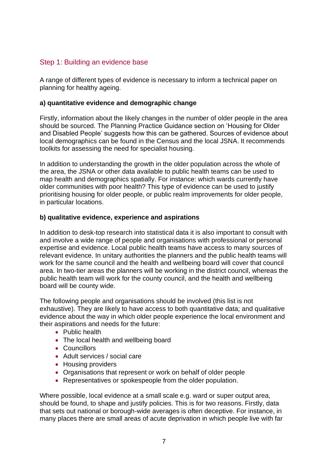# Step 1: Building an evidence base

A range of different types of evidence is necessary to inform a technical paper on planning for healthy ageing.

### **a) quantitative evidence and demographic change**

Firstly, information about the likely changes in the number of older people in the area should be sourced. The Planning Practice Guidance section on 'Housing for Older and Disabled People' suggests how this can be gathered. Sources of evidence about local demographics can be found in the Census and the local JSNA. It recommends toolkits for assessing the need for specialist housing.

In addition to understanding the growth in the older population across the whole of the area, the JSNA or other data available to public health teams can be used to map health and demographics spatially. For instance: which wards currently have older communities with poor health? This type of evidence can be used to justify prioritising housing for older people, or public realm improvements for older people, in particular locations.

### **b) qualitative evidence, experience and aspirations**

In addition to desk-top research into statistical data it is also important to consult with and involve a wide range of people and organisations with professional or personal expertise and evidence. Local public health teams have access to many sources of relevant evidence. In unitary authorities the planners and the public health teams will work for the same council and the health and wellbeing board will cover that council area. In two-tier areas the planners will be working in the district council, whereas the public health team will work for the county council, and the health and wellbeing board will be county wide.

The following people and organisations should be involved (this list is not exhaustive). They are likely to have access to both quantitative data; and qualitative evidence about the way in which older people experience the local environment and their aspirations and needs for the future:

- Public health
- The local health and wellbeing board
- Councillors
- Adult services / social care
- Housing providers
- Organisations that represent or work on behalf of older people
- Representatives or spokespeople from the older population.

Where possible, local evidence at a small scale e.g. ward or super output area, should be found, to shape and justify policies. This is for two reasons. Firstly, data that sets out national or borough-wide averages is often deceptive. For instance, in many places there are small areas of acute deprivation in which people live with far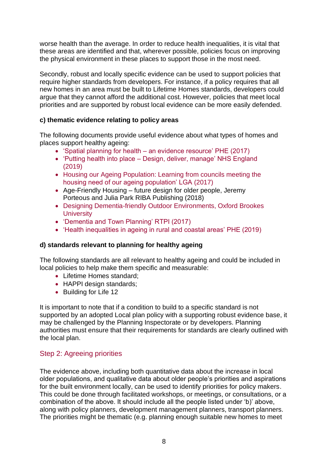worse health than the average. In order to reduce health inequalities, it is vital that these areas are identified and that, wherever possible, policies focus on improving the physical environment in these places to support those in the most need.

Secondly, robust and locally specific evidence can be used to support policies that require higher standards from developers. For instance, if a policy requires that all new homes in an area must be built to Lifetime Homes standards, developers could argue that they cannot afford the additional cost. However, policies that meet local priorities and are supported by robust local evidence can be more easily defended.

# **c) thematic evidence relating to policy areas**

The following documents provide useful evidence about what types of homes and places support healthy ageing:

- 'Spatial planning for health [an evidence resource' PHE \(2017\)](https://www.gov.uk/government/publications/spatial-planning-for-health-evidence-review)
- 'Putting health into place [Design, deliver, manage' NHS England](https://www.england.nhs.uk/ourwork/innovation/healthy-new-towns/)  [\(2019\)](https://www.england.nhs.uk/ourwork/innovation/healthy-new-towns/)
- [Housing our Ageing Population: Learning from councils meeting the](https://www.local.gov.uk/housing-our-ageing-population)  [housing need of our ageing population' LGA \(2017\)](https://www.local.gov.uk/housing-our-ageing-population)
- Age-Friendly Housing future design for older people, Jeremy Porteous and Julia Park RIBA Publishing (2018)
- [Designing Dementia-friendly Outdoor Environments, Oxford Brookes](http://www.idgo.ac.uk/about_idgo/docs/NfL-FL.pdf)  **[University](http://www.idgo.ac.uk/about_idgo/docs/NfL-FL.pdf)**
- ['Dementia and Town Planning' RTPI \(2017\)](https://www.rtpi.org.uk/practice/2017/august/dementia-and-town-planning/)
- ['Health inequalities in ageing in rural and coastal areas' PHE \(2019\)](https://www.gov.uk/government/publications/health-inequalities-in-ageing-in-rural-and-coastal-areas)

# **d) standards relevant to planning for healthy ageing**

The following standards are all relevant to healthy ageing and could be included in local policies to help make them specific and measurable:

- Lifetime Homes standard;
- HAPPI design standards;
- Building for Life 12

It is important to note that if a condition to build to a specific standard is not supported by an adopted Local plan policy with a supporting robust evidence base, it may be challenged by the Planning Inspectorate or by developers. Planning authorities must ensure that their requirements for standards are clearly outlined with the local plan.

# Step 2: Agreeing priorities

The evidence above, including both quantitative data about the increase in local older populations, and qualitative data about older people's priorities and aspirations for the built environment locally, can be used to identify priorities for policy makers. This could be done through facilitated workshops, or meetings, or consultations, or a combination of the above. It should include all the people listed under 'b)' above, along with policy planners, development management planners, transport planners. The priorities might be thematic (e.g. planning enough suitable new homes to meet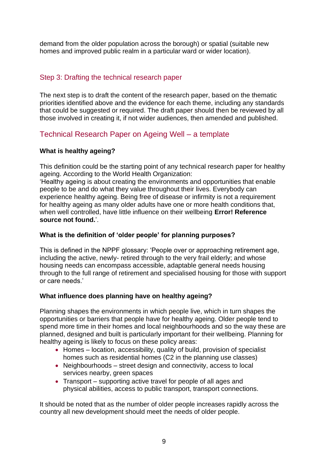demand from the older population across the borough) or spatial (suitable new homes and improved public realm in a particular ward or wider location).

# Step 3: Drafting the technical research paper

The next step is to draft the content of the research paper, based on the thematic priorities identified above and the evidence for each theme, including any standards that could be suggested or required. The draft paper should then be reviewed by all those involved in creating it, if not wider audiences, then amended and published.

# <span id="page-8-0"></span>Technical Research Paper on Ageing Well – a template

# **What is healthy ageing?**

This definition could be the starting point of any technical research paper for healthy ageing. According to the World Health Organization:

'Healthy ageing is about creating the environments and opportunities that enable people to be and do what they value throughout their lives. Everybody can experience healthy ageing. Being free of disease or infirmity is not a requirement for healthy ageing as many older adults have one or more health conditions that, when well controlled, have little influence on their wellbeing **Error! Reference source not found.**'.

# **What is the definition of 'older people' for planning purposes?**

This is defined in the NPPF glossary: 'People over or approaching retirement age, including the active, newly- retired through to the very frail elderly; and whose housing needs can encompass accessible, adaptable general needs housing through to the full range of retirement and specialised housing for those with support or care needs.'

# **What influence does planning have on healthy ageing?**

Planning shapes the environments in which people live, which in turn shapes the opportunities or barriers that people have for healthy ageing. Older people tend to spend more time in their homes and local neighbourhoods and so the way these are planned, designed and built is particularly important for their wellbeing. Planning for healthy ageing is likely to focus on these policy areas:

- Homes location, accessibility, quality of build, provision of specialist homes such as residential homes (C2 in the planning use classes)
- Neighbourhoods street design and connectivity, access to local services nearby, green spaces
- Transport supporting active travel for people of all ages and physical abilities, access to public transport, transport connections.

It should be noted that as the number of older people increases rapidly across the country all new development should meet the needs of older people.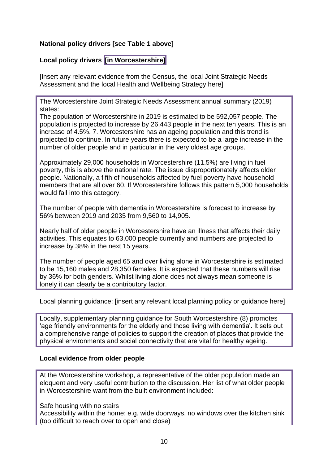# **National policy drivers [see Table 1 above]**

# **Local policy drivers [in Worcestershire]**

[Insert any relevant evidence from the Census, the local Joint Strategic Needs Assessment and the local Health and Wellbeing Strategy here]

The Worcestershire Joint Strategic Needs Assessment annual summary (2019) states:

The population of Worcestershire in 2019 is estimated to be 592,057 people. The population is projected to increase by 26,443 people in the next ten years. This is an increase of 4.5%. 7. Worcestershire has an ageing population and this trend is projected to continue. In future years there is expected to be a large increase in the number of older people and in particular in the very oldest age groups.

Approximately 29,000 households in Worcestershire (11.5%) are living in fuel poverty, this is above the national rate. The issue disproportionately affects older people. Nationally, a fifth of households affected by fuel poverty have household members that are all over 60. If Worcestershire follows this pattern 5,000 households would fall into this category.

The number of people with dementia in Worcestershire is forecast to increase by 56% between 2019 and 2035 from 9,560 to 14,905.

Nearly half of older people in Worcestershire have an illness that affects their daily activities. This equates to 63,000 people currently and numbers are projected to increase by 38% in the next 15 years.

The number of people aged 65 and over living alone in Worcestershire is estimated to be 15,160 males and 28,350 females. It is expected that these numbers will rise by 36% for both genders. Whilst living alone does not always mean someone is lonely it can clearly be a contributory factor.

Local planning guidance: [insert any relevant local planning policy or guidance here]

Locally, supplementary planning guidance for South Worcestershire [\(8\)](#page-12-5) promotes 'age friendly environments for the elderly and those living with dementia'. It sets out a comprehensive range of policies to support the creation of places that provide the physical environments and social connectivity that are vital for healthy ageing.

#### **Local evidence from older people**

At the Worcestershire workshop, a representative of the older population made an eloquent and very useful contribution to the discussion. Her list of what older people in Worcestershire want from the built environment included:

Safe housing with no stairs

Accessibility within the home: e.g. wide doorways, no windows over the kitchen sink (too difficult to reach over to open and close)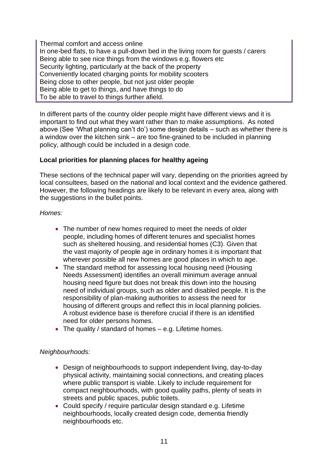Thermal comfort and access online In one-bed flats, to have a pull-down bed in the living room for guests / carers Being able to see nice things from the windows e.g. flowers etc Security lighting, particularly at the back of the property Conveniently located charging points for mobility scooters Being close to other people, but not just older people Being able to get to things, and have things to do To be able to travel to things further afield.

In different parts of the country older people might have different views and it is important to find out what they want rather than to make assumptions. As noted above (See 'What planning can't do') some design details – such as whether there is a window over the kitchen sink – are too fine-grained to be included in planning policy, although could be included in a design code.

# **Local priorities for planning places for healthy ageing**

These sections of the technical paper will vary, depending on the priorities agreed by local consultees, based on the national and local context and the evidence gathered. However, the following headings are likely to be relevant in every area, along with the suggestions in the bullet points.

### *Homes:*

- The number of new homes required to meet the needs of older people, including homes of different tenures and specialist homes such as sheltered housing, and residential homes (C3). Given that the vast majority of people age in ordinary homes it is important that wherever possible all new homes are good places in which to age.
- The standard method for assessing local housing need (Housing Needs Assessment) identifies an overall minimum average annual housing need figure but does not break this down into the housing need of individual groups, such as older and disabled people. It is the responsibility of plan-making authorities to assess the need for housing of different groups and reflect this in local planning policies. A robust evidence base is therefore crucial if there is an identified need for older persons homes.
- The quality / standard of homes e.g. Lifetime homes.

# *Neighbourhoods:*

- Design of neighbourhoods to support independent living, day-to-day physical activity, maintaining social connections, and creating places where public transport is viable. Likely to include requirement for compact neighbourhoods, with good quality paths, plenty of seats in streets and public spaces, public toilets.
- Could specify / require particular design standard e.g. Lifetime neighbourhoods, locally created design code, dementia friendly neighbourhoods etc.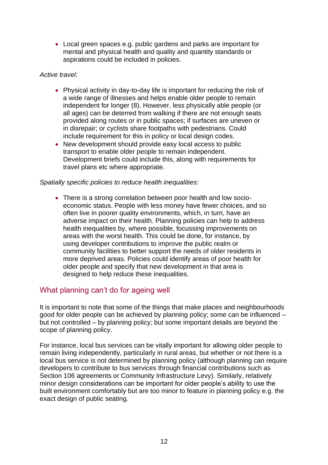• Local green spaces e.g. public gardens and parks are important for mental and physical health and quality and quantity standards or aspirations could be included in policies.

#### *Active travel:*

- Physical activity in day-to-day life is important for reducing the risk of a wide range of illnesses and helps enable older people to remain independent for longer [\(8\).](#page-12-6) However, less physically able people (or all ages) can be deterred from walking if there are not enough seats provided along routes or in public spaces; if surfaces are uneven or in disrepair; or cyclists share footpaths with pedestrians. Could include requirement for this in policy or local design codes.
- New development should provide easy local access to public transport to enable older people to remain independent. Development briefs could include this, along with requirements for travel plans etc where appropriate.

### *Spatially specific policies to reduce health inequalities:*

• There is a strong correlation between poor health and low socioeconomic status. People with less money have fewer choices, and so often live in poorer quality environments, which, in turn, have an adverse impact on their health. Planning policies can help to address health inequalities by, where possible, focussing improvements on areas with the worst health. This could be done, for instance, by using developer contributions to improve the public realm or community facilities to better support the needs of older residents in more deprived areas. Policies could identify areas of poor health for older people and specify that new development in that area is designed to help reduce these inequalities.

# <span id="page-11-0"></span>What planning can't do for ageing well

It is important to note that some of the things that make places and neighbourhoods good for older people can be achieved by planning policy; some can be influenced – but not controlled – by planning policy; but some important details are beyond the scope of planning policy.

For instance, local bus services can be vitally important for allowing older people to remain living independently, particularly in rural areas, but whether or not there is a local bus service is not determined by planning policy (although planning can require developers to contribute to bus services through financial contributions such as Section 106 agreements or Community Infrastructure Levy). Similarly, relatively minor design considerations can be important for older people's ability to use the built environment comfortably but are too minor to feature in planning policy e.g. the exact design of public seating.